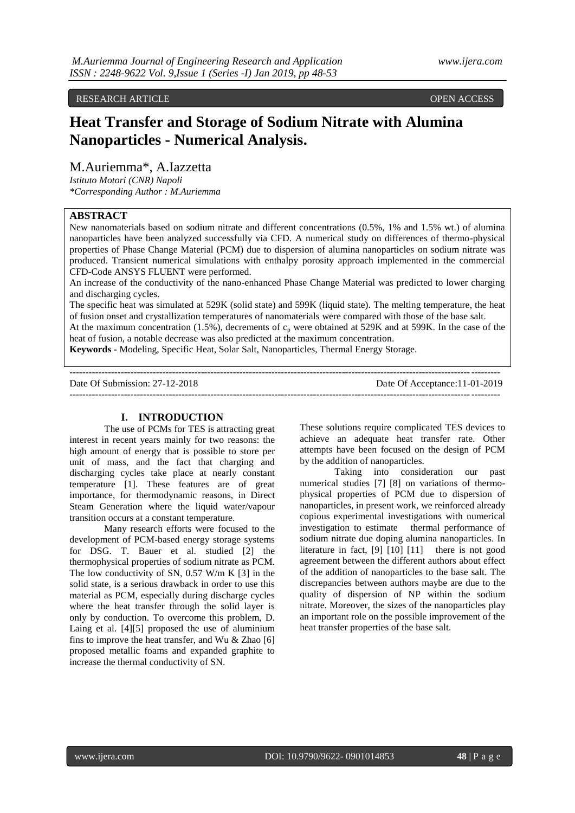## RESEARCH ARTICLE OPEN ACCESS

# **Heat Transfer and Storage of Sodium Nitrate with Alumina Nanoparticles - Numerical Analysis.**

## M.Auriemma\*, A.Iazzetta

*Istituto Motori (CNR) Napoli \*Corresponding Author : M.Auriemma*

## **ABSTRACT**

New nanomaterials based on sodium nitrate and different concentrations (0.5%, 1% and 1.5% wt.) of alumina nanoparticles have been analyzed successfully via CFD. A numerical study on differences of thermo-physical properties of Phase Change Material (PCM) due to dispersion of alumina nanoparticles on sodium nitrate was produced. Transient numerical simulations with enthalpy porosity approach implemented in the commercial CFD-Code ANSYS FLUENT were performed.

An increase of the conductivity of the nano-enhanced Phase Change Material was predicted to lower charging and discharging cycles.

The specific heat was simulated at 529K (solid state) and 599K (liquid state). The melting temperature, the heat of fusion onset and crystallization temperatures of nanomaterials were compared with those of the base salt.

At the maximum concentration (1.5%), decrements of  $c<sub>p</sub>$  were obtained at 529K and at 599K. In the case of the heat of fusion, a notable decrease was also predicted at the maximum concentration.

--------------------------------------------------------------------------------------------------------------------------------------

**Keywords -** Modeling, Specific Heat, Solar Salt, Nanoparticles, Thermal Energy Storage.

Date Of Submission: 27-12-2018 Date Of Acceptance:11-01-2019 --------------------------------------------------------------------------------------------------------------------------------------

## **I. INTRODUCTION**

The use of PCMs for TES is attracting great interest in recent years mainly for two reasons: the high amount of energy that is possible to store per unit of mass, and the fact that charging and discharging cycles take place at nearly constant temperature [1]. These features are of great importance, for thermodynamic reasons, in Direct Steam Generation where the liquid water/vapour transition occurs at a constant temperature.

Many research efforts were focused to the development of PCM-based energy storage systems for DSG. T. Bauer et al. studied [2] the thermophysical properties of sodium nitrate as PCM. The low conductivity of SN, 0.57 W/m K [3] in the solid state, is a serious drawback in order to use this material as PCM, especially during discharge cycles where the heat transfer through the solid layer is only by conduction. To overcome this problem, D. Laing et al. [4][5] proposed the use of aluminium fins to improve the heat transfer, and Wu  $&$  Zhao [6] proposed metallic foams and expanded graphite to increase the thermal conductivity of SN.

These solutions require complicated TES devices to achieve an adequate heat transfer rate. Other attempts have been focused on the design of PCM by the addition of nanoparticles.

Taking into consideration our past numerical studies [7] [8] on variations of thermophysical properties of PCM due to dispersion of nanoparticles, in present work, we reinforced already copious experimental investigations with numerical investigation to estimate thermal performance of sodium nitrate due doping alumina nanoparticles. In literature in fact, [9] [10] [11] there is not good agreement between the different authors about effect of the addition of nanoparticles to the base salt. The discrepancies between authors maybe are due to the quality of dispersion of NP within the sodium nitrate. Moreover, the sizes of the nanoparticles play an important role on the possible improvement of the heat transfer properties of the base salt.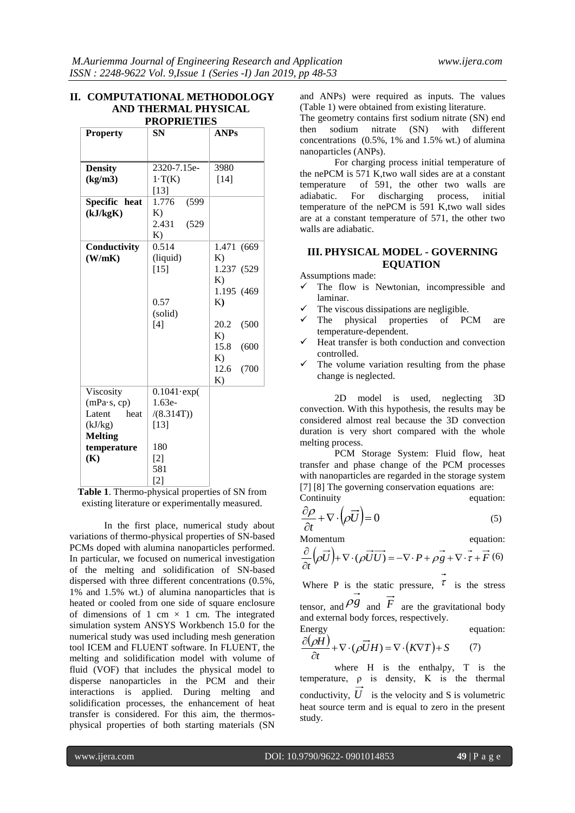#### **II. COMPUTATIONAL METHODOLOGY AND THERMAL PHYSICAL PROPRIETIES**

| <b>Property</b> | wu wu mu<br><b>SN</b> | <b>ANPs</b>         |
|-----------------|-----------------------|---------------------|
|                 |                       |                     |
| <b>Density</b>  | 2320-7.15e-           | 3980                |
| (kg/m3)         | $1 \cdot T(K)$        | $[14]$              |
|                 | $[13]$                |                     |
| Specific heat   | 1.776<br>(599)        |                     |
| (kJ/kgK)        | K)                    |                     |
|                 | 2.431<br>(529)        |                     |
|                 | K)                    |                     |
| Conductivity    | 0.514                 | 1.471 (669          |
| (W/mK)          | (liquid)              | K)                  |
|                 | $[15]$                | 1.237 (529          |
|                 |                       | K)                  |
|                 |                       | 1.195 (469)         |
|                 | 0.57                  | K)                  |
|                 | (solid)               |                     |
|                 | [4]                   | 20.2<br>(500)<br>K) |
|                 |                       | 15.8<br>(600)       |
|                 |                       | K)                  |
|                 |                       | 12.6<br>(700)       |
|                 |                       | K)                  |
| Viscosity       | $0.1041$ ·exp $($     |                     |
| (mPa·s, cp)     | $1.63e-$              |                     |
| Latent<br>heat  | /(8.314T))            |                     |
| (kJ/kg)         | $[13]$                |                     |
| <b>Melting</b>  |                       |                     |
| temperature     | 180                   |                     |
| (K)             | $[2]$                 |                     |
|                 | 581                   |                     |
|                 | $\lceil 2 \rceil$     |                     |

| Table 1. Thermo-physical properties of SN from  |
|-------------------------------------------------|
| existing literature or experimentally measured. |

In the first place, numerical study about variations of thermo-physical properties of SN-based PCMs doped with alumina nanoparticles performed. In particular, we focused on numerical investigation of the melting and solidification of SN-based dispersed with three different concentrations (0.5%, 1% and 1.5% wt.) of alumina nanoparticles that is heated or cooled from one side of square enclosure of dimensions of 1 cm  $\times$  1 cm. The integrated simulation system ANSYS Workbench 15.0 for the numerical study was used including mesh generation tool ICEM and FLUENT software. In FLUENT, the melting and solidification model with volume of fluid (VOF) that includes the physical model to disperse nanoparticles in the PCM and their interactions is applied. During melting and solidification processes, the enhancement of heat transfer is considered. For this aim, the thermosphysical properties of both starting materials (SN

and ANPs) were required as inputs. The values (Table 1) were obtained from existing literature.

The geometry contains first sodium nitrate (SN) end then sodium nitrate (SN) with different concentrations (0.5%, 1% and 1.5% wt.) of alumina nanoparticles (ANPs).

For charging process initial temperature of the nePCM is 571 K,two wall sides are at a constant temperature of 591, the other two walls are adiabatic. For discharging process, initial discharging process, initial temperature of the nePCM is 591 K,two wall sides are at a constant temperature of 571, the other two walls are adiabatic.

## **III. PHYSICAL MODEL - GOVERNING EQUATION**

Assumptions made:

- $\checkmark$  The flow is Newtonian, incompressible and laminar.
- The viscous dissipations are negligible.
- $\checkmark$  The physical properties of PCM are temperature-dependent.
- Heat transfer is both conduction and convection controlled.
- $\checkmark$  The volume variation resulting from the phase change is neglected.

2D model is used, neglecting 3D convection. With this hypothesis, the results may be considered almost real because the 3D convection duration is very short compared with the whole melting process.

PCM Storage System: Fluid flow, heat transfer and phase change of the PCM processes with nanoparticles are regarded in the storage system [7] [8] The governing conservation equations are:

Continuity equation:  $\partial \rho$ 

$$
\frac{\partial \rho}{\partial t} + \nabla \cdot (\rho \vec{U}) = 0 \tag{5}
$$

Momentum equation:

$$
\frac{\partial}{\partial t} \left( \rho \overrightarrow{U} \right) + \nabla \cdot \left( \rho \overrightarrow{U} \overrightarrow{U} \right) = -\nabla \cdot P + \rho \overrightarrow{g} + \nabla \cdot \overrightarrow{\tau} + \overrightarrow{F} \tag{6}
$$

Where P is the static pressure,  $\tau$  is the stress tensor, and  $\overrightarrow{P}$  and  $\overrightarrow{F}$  are the gravitational body and external body forces, respectively.

Energy  
\n
$$
\frac{\partial(\rho H)}{\partial t} + \nabla \cdot (\rho \vec{U} H) = \nabla \cdot (K \nabla T) + S \qquad (7)
$$

where H is the enthalpy, T is the temperature,  $\rho$  is density, K is the thermal conductivity,  $U$  is the velocity and S is volumetric heat source term and is equal to zero in the present study.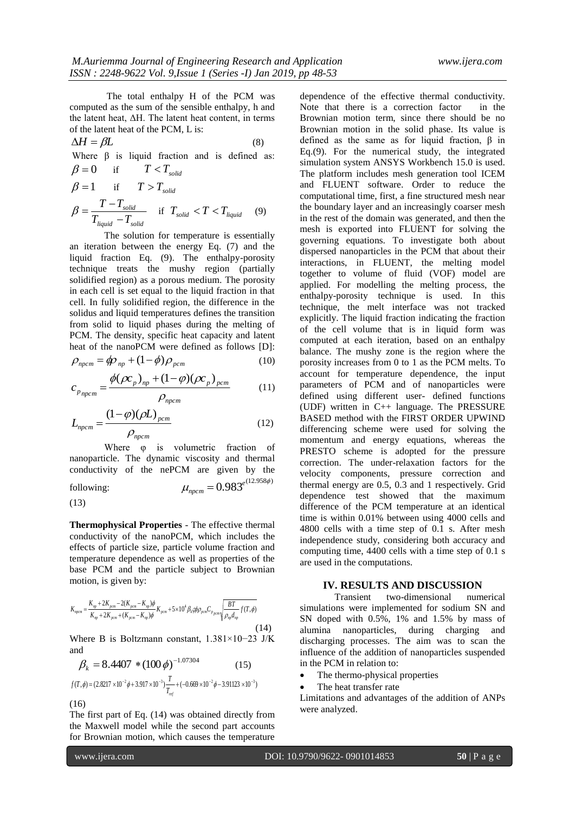The total enthalpy H of the PCM was computed as the sum of the sensible enthalpy, h and the latent heat, ΔH. The latent heat content, in terms of the latent heat of the PCM, L is:

$$
\Delta H = \beta L \tag{8}
$$

Where  $\beta$  is liquid fraction and is defined as:

$$
\beta = 0 \quad \text{if} \quad T < T_{solid}
$$
\n
$$
\beta = 1 \quad \text{if} \quad T > T_{solid}
$$
\n
$$
\beta = \frac{T - T_{solid}}{T_{liquid} - T_{solid}} \quad \text{if} \quad T_{solid} < T < T_{liquid} \tag{9}
$$

The solution for temperature is essentially an iteration between the energy Eq. (7) and the liquid fraction Eq. (9). The enthalpy-porosity technique treats the mushy region (partially solidified region) as a porous medium. The porosity in each cell is set equal to the liquid fraction in that cell. In fully solidified region, the difference in the solidus and liquid temperatures defines the transition from solid to liquid phases during the melting of PCM. The density, specific heat capacity and latent heat of the nanoPCM were defined as follows [D]:

$$
\rho_{npcm} = \phi p_{np} + (1 - \phi) \rho_{pcm} \tag{10}
$$

$$
c_{p_{npcm}} = \frac{\phi(\rho c_p)_{np} + (1 - \varphi)(\rho c_p)_{pcm}}{\rho_{npcm}}
$$
(11)

$$
L_{\text{npcm}} = \frac{(1 - \varphi)(\rho L)_{\text{pcm}}}{\rho_{\text{npcm}}} \tag{12}
$$

Where  $φ$  is volumetric fraction of nanoparticle. The dynamic viscosity and thermal conductivity of the nePCM are given by the  $\epsilon$  in  $= 0.983^{e^{(12.958\phi)}}$ 

following:  
\n
$$
\mu_{nperm} = 0.983^{\circ}
$$
\n(13)

**Thermophysical Properties** - The effective thermal conductivity of the nanoPCM, which includes the effects of particle size, particle volume fraction and temperature dependence as well as properties of the base PCM and the particle subject to Brownian motion, is given by:

$$
K_{n\text{perm}} = \frac{K_{np} + 2K_{\text{perm}} - 2(K_{\text{perm}} - K_{np})\phi}{K_{np} + 2K_{\text{perm}} + (K_{\text{perm}} - K_{np})\phi} K_{\text{perm}} + 5 \times 10^4 \beta_k \phi \rho_{\text{perm}} C_{p_{\text{perm}}} \sqrt{\frac{BT}{\rho_{np} d_{np}}} f(T, \phi)
$$
\n(14)

Where B is Boltzmann constant, 1.381×10−23 J/K and

$$
\beta_k = 8.4407 \cdot (100 \phi)^{-1.07304} \tag{15}
$$

$$
f(T,\phi) = (2.8217 \times 10^{-2} \phi + 3.917 \times 10^{-3}) \frac{T}{T_{ref}} + (-0.669 \times 10^{-2} \phi - 3.91123 \times 10^{-3})
$$
  
(16)

The first part of Eq. (14) was obtained directly from the Maxwell model while the second part accounts for Brownian motion, which causes the temperature

dependence of the effective thermal conductivity. Note that there is a correction factor in the Brownian motion term, since there should be no Brownian motion in the solid phase. Its value is defined as the same as for liquid fraction, β in Eq.(9). For the numerical study, the integrated simulation system ANSYS Workbench 15.0 is used. The platform includes mesh generation tool ICEM and FLUENT software. Order to reduce the computational time, first, a fine structured mesh near the boundary layer and an increasingly coarser mesh in the rest of the domain was generated, and then the mesh is exported into FLUENT for solving the governing equations. To investigate both about dispersed nanoparticles in the PCM that about their interactions, in FLUENT, the melting model together to volume of fluid (VOF) model are applied. For modelling the melting process, the enthalpy-porosity technique is used. In this technique, the melt interface was not tracked explicitly. The liquid fraction indicating the fraction of the cell volume that is in liquid form was computed at each iteration, based on an enthalpy balance. The mushy zone is the region where the porosity increases from 0 to 1 as the PCM melts. To account for temperature dependence, the input parameters of PCM and of nanoparticles were defined using different user- defined functions (UDF) written in C++ language. The PRESSURE BASED method with the FIRST ORDER UPWIND differencing scheme were used for solving the momentum and energy equations, whereas the PRESTO scheme is adopted for the pressure correction. The under-relaxation factors for the velocity components, pressure correction and thermal energy are 0.5, 0.3 and 1 respectively. Grid dependence test showed that the maximum difference of the PCM temperature at an identical time is within 0.01% between using 4000 cells and 4800 cells with a time step of 0.1 s. After mesh independence study, considering both accuracy and computing time, 4400 cells with a time step of 0.1 s are used in the computations.

#### **IV. RESULTS AND DISCUSSION**

Transient two-dimensional numerical simulations were implemented for sodium SN and SN doped with 0.5%, 1% and 1.5% by mass of alumina nanoparticles, during charging and discharging processes. The aim was to scan the influence of the addition of nanoparticles suspended in the PCM in relation to:

- The thermo-physical properties
- The heat transfer rate

Limitations and advantages of the addition of ANPs were analyzed.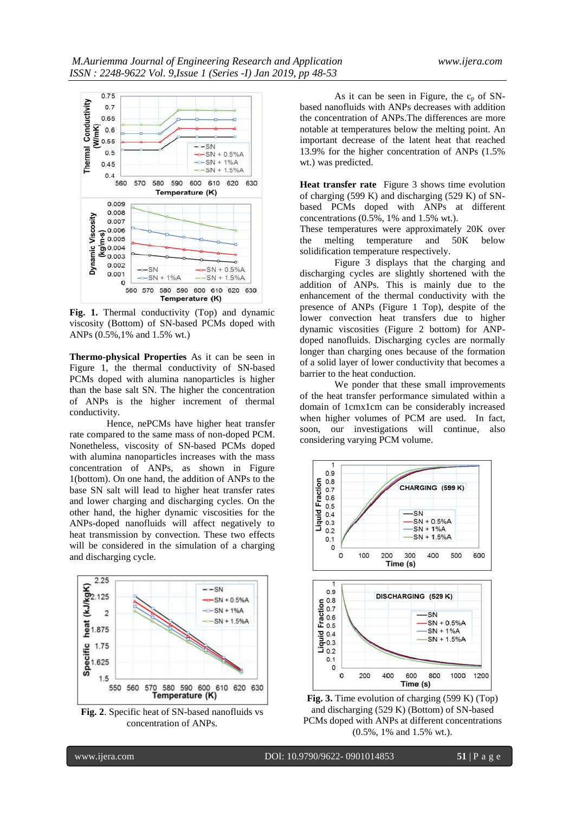

Fig. 1. Thermal conductivity (Top) and dynamic viscosity (Bottom) of SN-based PCMs doped with ANPs (0.5%,1% and 1.5% wt.)

**Thermo-physical Properties** As it can be seen in Figure 1, the thermal conductivity of SN-based PCMs doped with alumina nanoparticles is higher than the base salt SN. The higher the concentration of ANPs is the higher increment of thermal conductivity.

Hence, nePCMs have higher heat transfer rate compared to the same mass of non-doped PCM. Nonetheless, viscosity of SN-based PCMs doped with alumina nanoparticles increases with the mass concentration of ANPs, as shown in Figure 1(bottom). On one hand, the addition of ANPs to the base SN salt will lead to higher heat transfer rates and lower charging and discharging cycles. On the other hand, the higher dynamic viscosities for the ANPs-doped nanofluids will affect negatively to heat transmission by convection. These two effects will be considered in the simulation of a charging and discharging cycle.



**Fig. 2**. Specific heat of SN-based nanofluids vs concentration of ANPs.

As it can be seen in Figure, the  $c_p$  of SNbased nanofluids with ANPs decreases with addition the concentration of ANPs.The differences are more notable at temperatures below the melting point. An important decrease of the latent heat that reached 13.9% for the higher concentration of ANPs (1.5% wt.) was predicted.

**Heat transfer rate** Figure 3 shows time evolution of charging (599 K) and discharging (529 K) of SNbased PCMs doped with ANPs at different concentrations (0.5%, 1% and 1.5% wt.).

These temperatures were approximately 20K over the melting temperature and 50K below solidification temperature respectively.

Figure 3 displays that the charging and discharging cycles are slightly shortened with the addition of ANPs. This is mainly due to the enhancement of the thermal conductivity with the presence of ANPs (Figure 1 Top), despite of the lower convection heat transfers due to higher dynamic viscosities (Figure 2 bottom) for ANPdoped nanofluids. Discharging cycles are normally longer than charging ones because of the formation of a solid layer of lower conductivity that becomes a barrier to the heat conduction.

We ponder that these small improvements of the heat transfer performance simulated within a domain of 1cmx1cm can be considerably increased when higher volumes of PCM are used. In fact, soon, our investigations will continue, also considering varying PCM volume.



**Fig. 3.** Time evolution of charging (599 K) (Top) and discharging (529 K) (Bottom) of SN-based PCMs doped with ANPs at different concentrations (0.5%, 1% and 1.5% wt.).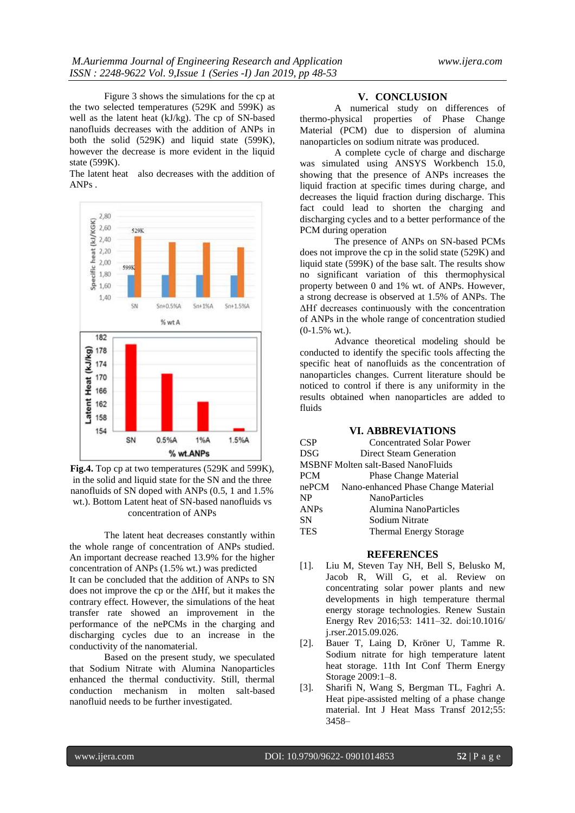Figure 3 shows the simulations for the cp at the two selected temperatures (529K and 599K) as well as the latent heat (kJ/kg). The cp of SN-based nanofluids decreases with the addition of ANPs in both the solid (529K) and liquid state (599K), however the decrease is more evident in the liquid state (599K).

The latent heat also decreases with the addition of ANPs .



**Fig.4.** Top cp at two temperatures (529K and 599K), in the solid and liquid state for the SN and the three nanofluids of SN doped with ANPs (0.5, 1 and 1.5% wt.). Bottom Latent heat of SN-based nanofluids vs concentration of ANPs

The latent heat decreases constantly within the whole range of concentration of ANPs studied. An important decrease reached 13.9% for the higher concentration of ANPs (1.5% wt.) was predicted It can be concluded that the addition of ANPs to SN does not improve the cp or the ΔHf, but it makes the contrary effect. However, the simulations of the heat transfer rate showed an improvement in the performance of the nePCMs in the charging and discharging cycles due to an increase in the conductivity of the nanomaterial.

Based on the present study, we speculated that Sodium Nitrate with Alumina Nanoparticles enhanced the thermal conductivity. Still, thermal conduction mechanism in molten salt-based nanofluid needs to be further investigated.

#### **V. CONCLUSION**

A numerical study on differences of thermo-physical properties of Phase Change Material (PCM) due to dispersion of alumina nanoparticles on sodium nitrate was produced.

A complete cycle of charge and discharge was simulated using ANSYS Workbench 15.0, showing that the presence of ANPs increases the liquid fraction at specific times during charge, and decreases the liquid fraction during discharge. This fact could lead to shorten the charging and discharging cycles and to a better performance of the PCM during operation

The presence of ANPs on SN-based PCMs does not improve the cp in the solid state (529K) and liquid state (599K) of the base salt. The results show no significant variation of this thermophysical property between 0 and 1% wt. of ANPs. However, a strong decrease is observed at 1.5% of ANPs. The ΔHf decreases continuously with the concentration of ANPs in the whole range of concentration studied (0-1.5% wt.).

Advance theoretical modeling should be conducted to identify the specific tools affecting the specific heat of nanofluids as the concentration of nanoparticles changes. Current literature should be noticed to control if there is any uniformity in the results obtained when nanoparticles are added to fluids

### **VI. ABBREVIATIONS**

| CSP                                       | <b>Concentrated Solar Power</b>     |  |
|-------------------------------------------|-------------------------------------|--|
| <b>DSG</b>                                | Direct Steam Generation             |  |
| <b>MSBNF Molten salt-Based NanoFluids</b> |                                     |  |
| <b>PCM</b>                                | Phase Change Material               |  |
| nePCM                                     | Nano-enhanced Phase Change Material |  |
| <b>NP</b>                                 | <b>NanoParticles</b>                |  |
| <b>ANPs</b>                               | Alumina NanoParticles               |  |
| <b>SN</b>                                 | Sodium Nitrate                      |  |
| <b>TES</b>                                | <b>Thermal Energy Storage</b>       |  |
|                                           |                                     |  |

#### **REFERENCES**

- [1]. Liu M, Steven Tay NH, Bell S, Belusko M, Jacob R, Will G, et al. Review on concentrating solar power plants and new developments in high temperature thermal energy storage technologies. Renew Sustain Energy Rev 2016;53: 1411–32. doi:10.1016/ j.rser.2015.09.026.
- [2]. Bauer T, Laing D, Kröner U, Tamme R. Sodium nitrate for high temperature latent heat storage. 11th Int Conf Therm Energy Storage 2009:1–8.
- [3]. Sharifi N, Wang S, Bergman TL, Faghri A. Heat pipe-assisted melting of a phase change material. Int J Heat Mass Transf 2012;55: 3458–